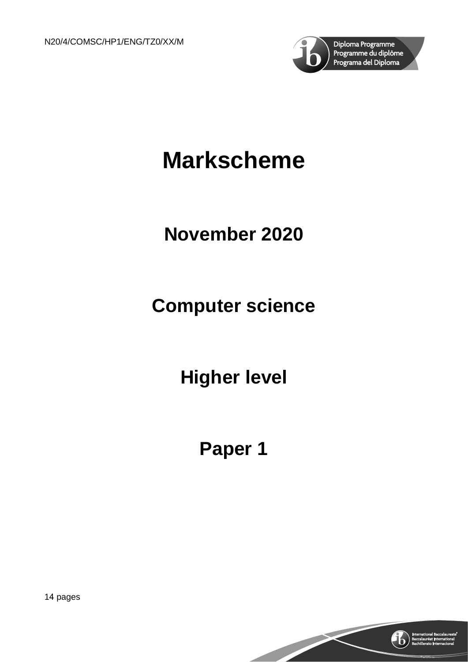

# **Markscheme**

## **November 2020**

## **Computer science**

**Higher level**

## **Paper 1**

14 pages

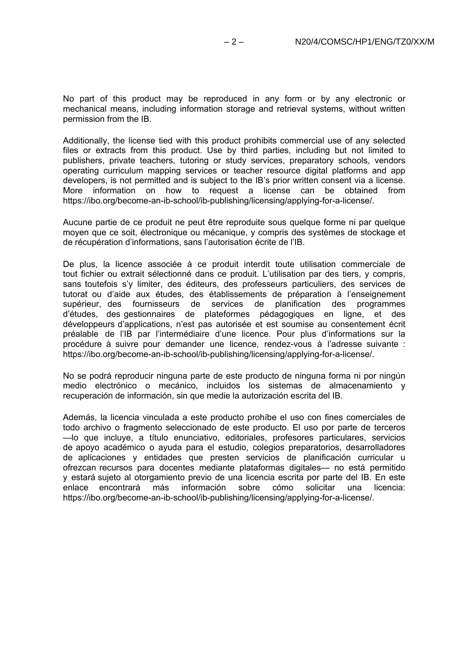No part of this product may be reproduced in any form or by any electronic or mechanical means, including information storage and retrieval systems, without written permission from the IB.

Additionally, the license tied with this product prohibits commercial use of any selected files or extracts from this product. Use by third parties, including but not limited to publishers, private teachers, tutoring or study services, preparatory schools, vendors operating curriculum mapping services or teacher resource digital platforms and app developers, is not permitted and is subject to the IB's prior written consent via a license. More information on how to request a license can be obtained from https://ibo.org/become-an-ib-school/ib-publishing/licensing/applying-for-a-license/.

Aucune partie de ce produit ne peut être reproduite sous quelque forme ni par quelque moyen que ce soit, électronique ou mécanique, y compris des systèmes de stockage et de récupération d'informations, sans l'autorisation écrite de l'IB.

De plus, la licence associée à ce produit interdit toute utilisation commerciale de tout fichier ou extrait sélectionné dans ce produit. L'utilisation par des tiers, y compris, sans toutefois s'y limiter, des éditeurs, des professeurs particuliers, des services de tutorat ou d'aide aux études, des établissements de préparation à l'enseignement supérieur, des fournisseurs de services de planification des programmes d'études, des gestionnaires de plateformes pédagogiques en ligne, et des développeurs d'applications, n'est pas autorisée et est soumise au consentement écrit préalable de l'IB par l'intermédiaire d'une licence. Pour plus d'informations sur la procédure à suivre pour demander une licence, rendez-vous à l'adresse suivante : https://ibo.org/become-an-ib-school/ib-publishing/licensing/applying-for-a-license/.

No se podrá reproducir ninguna parte de este producto de ninguna forma ni por ningún medio electrónico o mecánico, incluidos los sistemas de almacenamiento y recuperación de información, sin que medie la autorización escrita del IB.

Además, la licencia vinculada a este producto prohíbe el uso con fines comerciales de todo archivo o fragmento seleccionado de este producto. El uso por parte de terceros —lo que incluye, a título enunciativo, editoriales, profesores particulares, servicios de apoyo académico o ayuda para el estudio, colegios preparatorios, desarrolladores de aplicaciones y entidades que presten servicios de planificación curricular u ofrezcan recursos para docentes mediante plataformas digitales— no está permitido y estará sujeto al otorgamiento previo de una licencia escrita por parte del IB. En este<br>enlace encontrará más información sobre cómo solicitar una licencia: enlace encontrará más https://ibo.org/become-an-ib-school/ib-publishing/licensing/applying-for-a-license/.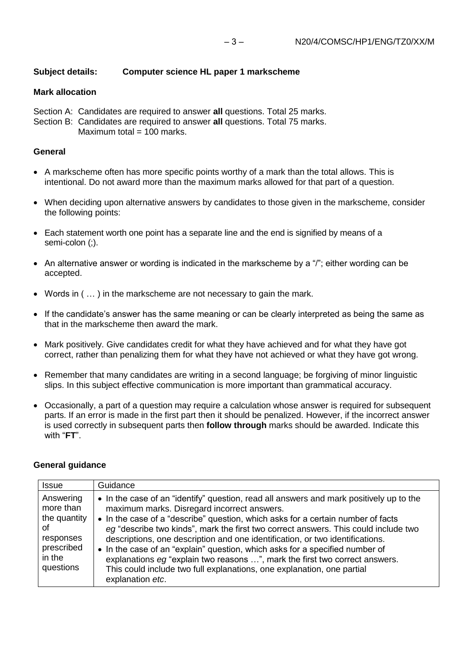## **Subject details: Computer science HL paper 1 markscheme**

### **Mark allocation**

Section A: Candidates are required to answer **all** questions. Total 25 marks. Section B: Candidates are required to answer **all** questions. Total 75 marks.

Maximum total  $= 100$  marks.

### **General**

- A markscheme often has more specific points worthy of a mark than the total allows. This is intentional. Do not award more than the maximum marks allowed for that part of a question.
- When deciding upon alternative answers by candidates to those given in the markscheme, consider the following points:
- Each statement worth one point has a separate line and the end is signified by means of a semi-colon (;).
- An alternative answer or wording is indicated in the markscheme by a "/"; either wording can be accepted.
- Words in ( … ) in the markscheme are not necessary to gain the mark.
- If the candidate's answer has the same meaning or can be clearly interpreted as being the same as that in the markscheme then award the mark.
- Mark positively. Give candidates credit for what they have achieved and for what they have got correct, rather than penalizing them for what they have not achieved or what they have got wrong.
- Remember that many candidates are writing in a second language; be forgiving of minor linguistic slips. In this subject effective communication is more important than grammatical accuracy.
- Occasionally, a part of a question may require a calculation whose answer is required for subsequent parts. If an error is made in the first part then it should be penalized. However, if the incorrect answer is used correctly in subsequent parts then **follow through** marks should be awarded. Indicate this with "**FT**".

#### **General guidance**

| <b>Issue</b>                                                                                   | Guidance                                                                                                                                                                                                                                                                                                                                                                                                                                                                                                                                                                                                                                                        |
|------------------------------------------------------------------------------------------------|-----------------------------------------------------------------------------------------------------------------------------------------------------------------------------------------------------------------------------------------------------------------------------------------------------------------------------------------------------------------------------------------------------------------------------------------------------------------------------------------------------------------------------------------------------------------------------------------------------------------------------------------------------------------|
| Answering<br>more than<br>the quantity<br>οf<br>responses<br>prescribed<br>in the<br>questions | • In the case of an "identify" question, read all answers and mark positively up to the<br>maximum marks. Disregard incorrect answers.<br>• In the case of a "describe" question, which asks for a certain number of facts<br>eg "describe two kinds", mark the first two correct answers. This could include two<br>descriptions, one description and one identification, or two identifications.<br>• In the case of an "explain" question, which asks for a specified number of<br>explanations eg "explain two reasons ", mark the first two correct answers.<br>This could include two full explanations, one explanation, one partial<br>explanation etc. |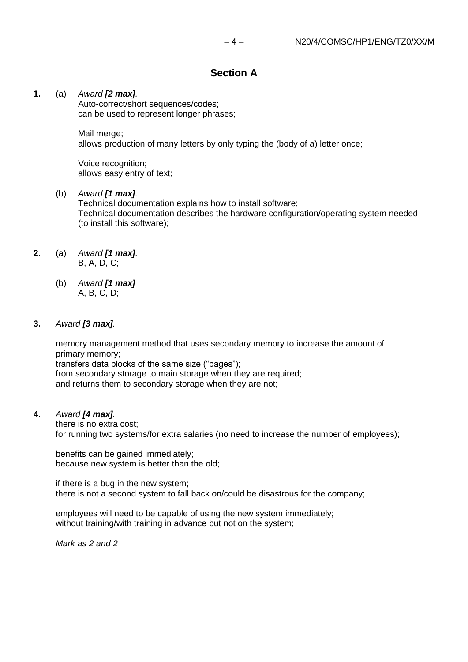## **Section A**

#### **1.** (a) *Award [2 max].*

Auto-correct/short sequences/codes; can be used to represent longer phrases;

#### Mail merge;

allows production of many letters by only typing the (body of a) letter once;

Voice recognition; allows easy entry of text;

#### (b) *Award [1 max].*

Technical documentation explains how to install software; Technical documentation describes the hardware configuration/operating system needed (to install this software);

- **2.** (a) *Award [1 max].* B, A, D, C;
	- (b) *Award [1 max]* A, B, C, D;

#### **3.** *Award [3 max].*

memory management method that uses secondary memory to increase the amount of primary memory; transfers data blocks of the same size ("pages"); from secondary storage to main storage when they are required; and returns them to secondary storage when they are not;

#### **4.** *Award [4 max].*

there is no extra cost; for running two systems/for extra salaries (no need to increase the number of employees);

benefits can be gained immediately; because new system is better than the old;

if there is a bug in the new system; there is not a second system to fall back on/could be disastrous for the company;

employees will need to be capable of using the new system immediately; without training/with training in advance but not on the system;

*Mark as 2 and 2*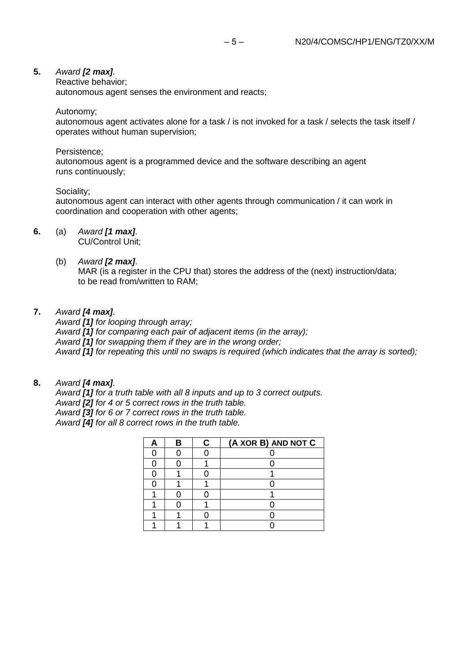#### **5.** *Award [2 max].*

Reactive behavior;

autonomous agent senses the environment and reacts;

Autonomy;

autonomous agent activates alone for a task / is not invoked for a task / selects the task itself / operates without human supervision;

#### Persistence;

autonomous agent is a programmed device and the software describing an agent runs continuously;

#### Sociality;

autonomous agent can interact with other agents through communication / it can work in coordination and cooperation with other agents;

#### **6.** (a) *Award [1 max].*

CU/Control Unit;

#### (b) *Award [2 max].*

MAR (is a register in the CPU that) stores the address of the (next) instruction/data; to be read from/written to RAM;

#### **7.** *Award [4 max].*

*Award [1] for looping through array; Award [1] for comparing each pair of adjacent items (in the array); Award [1] for swapping them if they are in the wrong order; Award [1] for repeating this until no swaps is required (which indicates that the array is sorted);*

#### **8.** *Award [4 max].*

*Award [1] for a truth table with all 8 inputs and up to 3 correct outputs. Award [2] for 4 or 5 correct rows in the truth table. Award [3] for 6 or 7 correct rows in the truth table. Award [4] for all 8 correct rows in the truth table.*

|  | C | (A XOR B) AND NOT C |
|--|---|---------------------|
|  |   |                     |
|  |   |                     |
|  |   |                     |
|  |   |                     |
|  |   |                     |
|  |   |                     |
|  |   |                     |
|  |   |                     |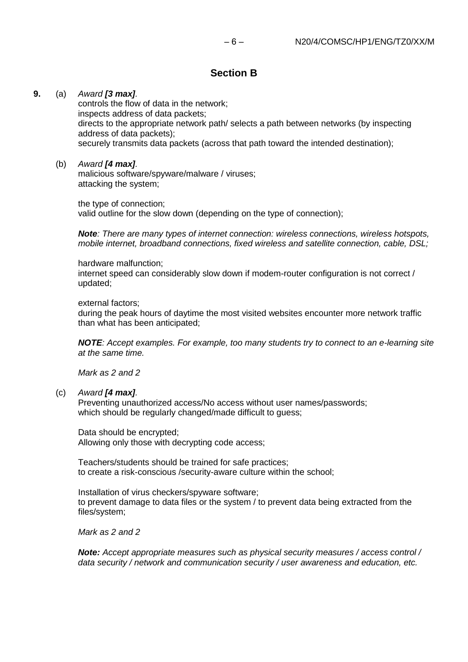### **Section B**

#### **9.** (a) *Award [3 max].*

controls the flow of data in the network; inspects address of data packets; directs to the appropriate network path/ selects a path between networks (by inspecting address of data packets); securely transmits data packets (across that path toward the intended destination);

#### (b) *Award [4 max].*

malicious software/spyware/malware / viruses; attacking the system;

the type of connection; valid outline for the slow down (depending on the type of connection);

*Note: There are many types of internet connection: wireless connections, wireless hotspots, mobile internet, broadband connections, fixed wireless and satellite connection, cable, DSL;*

hardware malfunction;

internet speed can considerably slow down if modem-router configuration is not correct / updated;

external factors;

during the peak hours of daytime the most visited websites encounter more network traffic than what has been anticipated;

*NOTE: Accept examples. For example, too many students try to connect to an e-learning site at the same time.*

*Mark as 2 and 2*

#### (c) *Award [4 max].*

Preventing unauthorized access/No access without user names/passwords; which should be regularly changed/made difficult to guess;

Data should be encrypted; Allowing only those with decrypting code access;

Teachers/students should be trained for safe practices; to create a risk-conscious /security-aware culture within the school;

Installation of virus checkers/spyware software; to prevent damage to data files or the system / to prevent data being extracted from the files/system;

*Mark as 2 and 2*

*Note: Accept appropriate measures such as physical security measures / access control / data security / network and communication security / user awareness and education, etc.*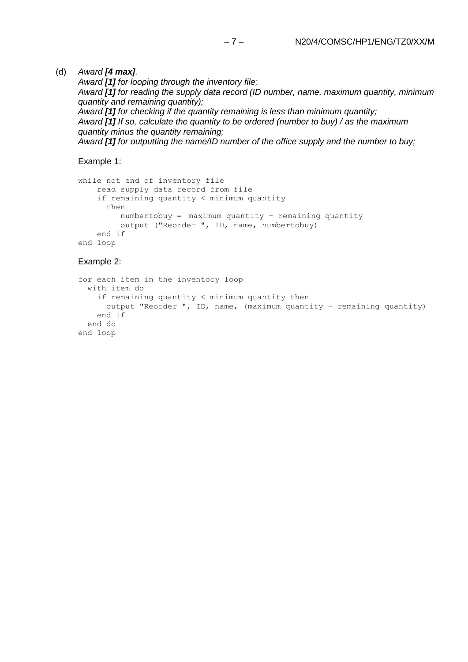#### (d) *Award [4 max].*

*Award [1] for looping through the inventory file; Award [1] for reading the supply data record (ID number, name, maximum quantity, minimum quantity and remaining quantity); Award [1] for checking if the quantity remaining is less than minimum quantity; Award [1] If so, calculate the quantity to be ordered (number to buy) / as the maximum quantity minus the quantity remaining; Award [1] for outputting the name/ID number of the office supply and the number to buy;*

Example 1:

```
while not end of inventory file
   read supply data record from file
   if remaining quantity < minimum quantity 
      then
         numbertobuy = maximum quantity – remaining quantity
        output ("Reorder ", ID, name, numbertobuy)
   end if
end loop
```
#### Example 2:

```
for each item in the inventory loop
  with item do
   if remaining quantity < minimum quantity then
     output "Reorder ", ID, name, (maximum quantity – remaining quantity)
   end if
  end do
end loop
```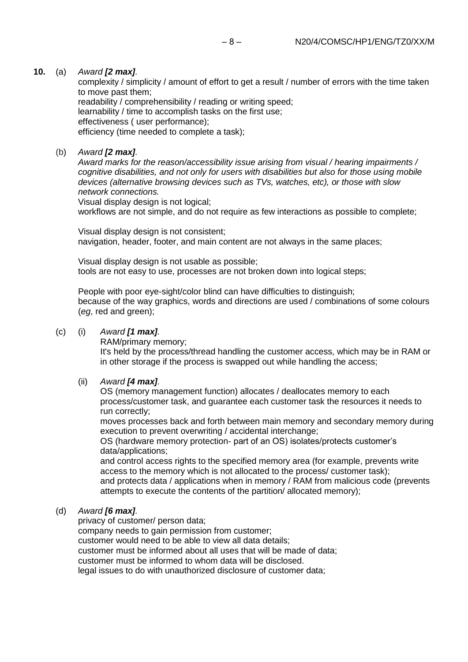#### **10.** (a) *Award [2 max].*

complexity / simplicity / amount of effort to get a result / number of errors with the time taken to move past them;

readability / comprehensibility / reading or writing speed; learnability / time to accomplish tasks on the first use; effectiveness ( user performance); efficiency (time needed to complete a task);

#### (b) *Award [2 max].*

*Award marks for the reason/accessibility issue arising from visual / hearing impairments / cognitive disabilities, and not only for users with disabilities but also for those using mobile devices (alternative browsing devices such as TVs, watches, etc), or those with slow network connections.*

Visual display design is not logical;

workflows are not simple, and do not require as few interactions as possible to complete;

Visual display design is not consistent; navigation, header, footer, and main content are not always in the same places;

Visual display design is not usable as possible; tools are not easy to use, processes are not broken down into logical steps;

People with poor eye-sight/color blind can have difficulties to distinguish; because of the way graphics, words and directions are used / combinations of some colours (*eg*, red and green);

#### (c) (i) *Award [1 max].*

RAM/primary memory;

It's held by the process/thread handling the customer access, which may be in RAM or in other storage if the process is swapped out while handling the access;

#### (ii) *Award [4 max].*

OS (memory management function) allocates / deallocates memory to each process/customer task, and guarantee each customer task the resources it needs to run correctly;

moves processes back and forth between main memory and secondary memory during execution to prevent overwriting / accidental interchange;

OS (hardware memory protection- part of an OS) isolates/protects customer's data/applications;

and control access rights to the specified memory area (for example, prevents write access to the memory which is not allocated to the process/ customer task); and protects data / applications when in memory / RAM from malicious code (prevents attempts to execute the contents of the partition/ allocated memory);

#### (d) *Award [6 max].*

privacy of customer/ person data;

company needs to gain permission from customer;

customer would need to be able to view all data details;

customer must be informed about all uses that will be made of data;

customer must be informed to whom data will be disclosed.

legal issues to do with unauthorized disclosure of customer data;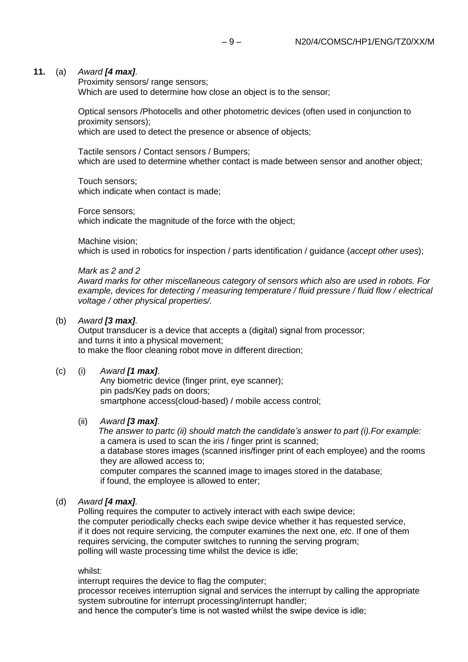#### **11.** (a) *Award [4 max].*

Proximity sensors/ range sensors; Which are used to determine how close an object is to the sensor;

Optical sensors /Photocells and other photometric devices (often used in conjunction to proximity sensors);

which are used to detect the presence or absence of objects;

Tactile sensors / Contact sensors / Bumpers; which are used to determine whether contact is made between sensor and another object;

Touch sensors; which indicate when contact is made;

Force sensors; which indicate the magnitude of the force with the object;

Machine vision;

which is used in robotics for inspection / parts identification / guidance (*accept other uses*);

#### *Mark as 2 and 2*

*Award marks for other miscellaneous category of sensors which also are used in robots. For example, devices for detecting / measuring temperature / fluid pressure / fluid flow / electrical voltage / other physical properties/.*

#### (b) *Award [3 max].*

Output transducer is a device that accepts a (digital) signal from processor; and turns it into a physical movement; to make the floor cleaning robot move in different direction;

#### (c) (i) *Award [1 max].*

Any biometric device (finger print, eye scanner); pin pads/Key pads on doors; smartphone access(cloud-based) / mobile access control;

#### (ii) *Award [3 max].*

*The answer to partc (ii) should match the candidate's answer to part (i).For example:* a camera is used to scan the iris / finger print is scanned; a database stores images (scanned iris/finger print of each employee) and the rooms they are allowed access to; computer compares the scanned image to images stored in the database; if found, the employee is allowed to enter;

#### (d) *Award [4 max].*

Polling requires the computer to actively interact with each swipe device; the computer periodically checks each swipe device whether it has requested service, if it does not require servicing, the computer examines the next one, *etc*. If one of them requires servicing, the computer switches to running the serving program; polling will waste processing time whilst the device is idle;

whilst:

interrupt requires the device to flag the computer;

processor receives interruption signal and services the interrupt by calling the appropriate system subroutine for interrupt processing/interrupt handler;

and hence the computer's time is not wasted whilst the swipe device is idle;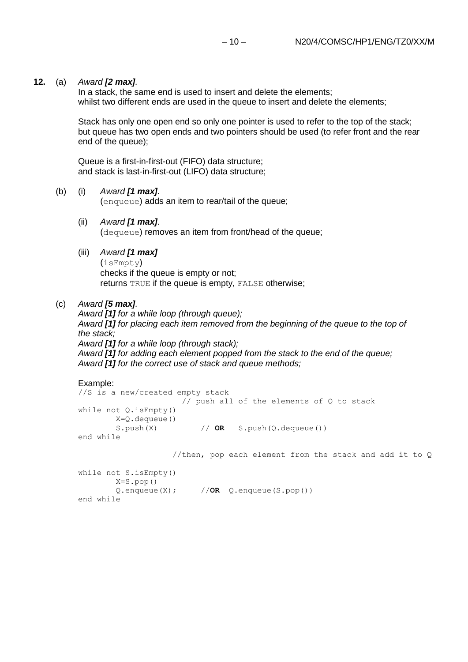#### **12.** (a) *Award [2 max].*

In a stack, the same end is used to insert and delete the elements; whilst two different ends are used in the queue to insert and delete the elements;

Stack has only one open end so only one pointer is used to refer to the top of the stack; but queue has two open ends and two pointers should be used (to refer front and the rear end of the queue);

Queue is a first-in-first-out (FIFO) data structure; and stack is last-in-first-out (LIFO) data structure;

#### (b) (i) *Award [1 max].*

(enqueue) adds an item to rear/tail of the queue;

(ii) *Award [1 max].*

(dequeue) removes an item from front/head of the queue;

#### (iii) *Award [1 max]*

(isEmpty) checks if the queue is empty or not; returns TRUE if the queue is empty, FALSE otherwise;

#### (c) *Award [5 max].*

*Award [1] for a while loop (through queue); Award [1] for placing each item removed from the beginning of the queue to the top of the stack; Award [1] for a while loop (through stack); Award [1] for adding each element popped from the stack to the end of the queue; Award [1] for the correct use of stack and queue methods;*

```
Example:
//S is a new/created empty stack
                    // push all of the elements of Q to stack
while not Q.isEmpty()
       X=Q.dequeue()
       S.push(X) // OR S. push(Q.dequeue())end while
```
//then, pop each element from the stack and add it to Q

```
while not S.isEmpty() 
       X=S.pop()
       Q.enqueue(X); //OR Q.enqueue(S.pop())
end while
```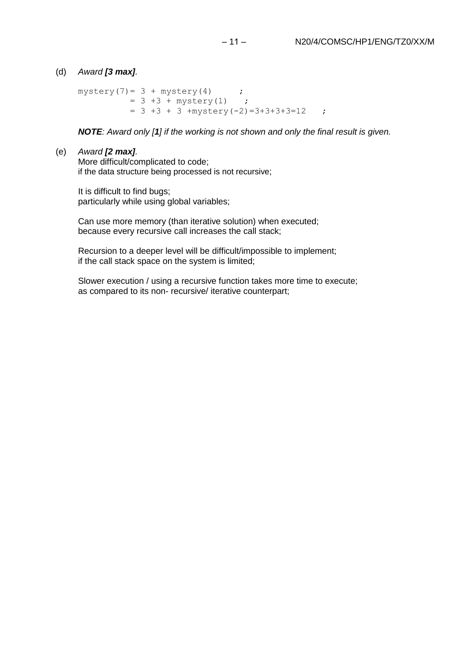#### (d) *Award [3 max].*

```
mystery(7) = 3 + mystery(4) ;
         = 3 +3 + mystery(1) ;
         = 3 +3 + 3 + mystery(-2)=3+3+3+3=12 ;
```
*NOTE: Award only [1] if the working is not shown and only the final result is given.*

#### (e) *Award [2 max].*

More difficult/complicated to code; if the data structure being processed is not recursive;

It is difficult to find bugs; particularly while using global variables;

Can use more memory (than iterative solution) when executed; because every recursive call increases the call stack;

Recursion to a deeper level will be difficult/impossible to implement; if the call stack space on the system is limited;

Slower execution / using a recursive function takes more time to execute; as compared to its non- recursive/ iterative counterpart;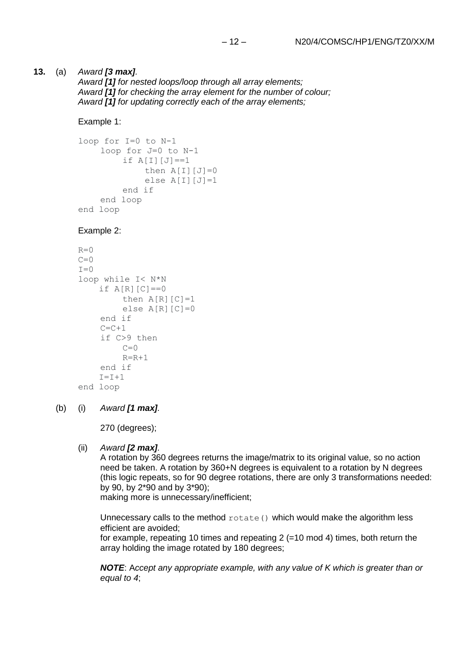#### **13.** (a) *Award [3 max].*

*Award [1] for nested loops/loop through all array elements; Award [1] for checking the array element for the number of colour; Award [1] for updating correctly each of the array elements;*

#### Example 1:

```
loop for I=0 to N-1
    loop for J=0 to N-1
        if A[I][J]=-1then A[I][J]=0else A[I][J]=1end if
    end loop
end loop
```
#### Example 2:

```
R=0C=0I=0loop while I< N*N
    if A[R][C]=0then A[R][C]=1else A[R][C]=0end if
    C = C + 1if C>9 then
        C=0R=R+1end if
    I = I + 1end loop
```
#### (b) (i) *Award [1 max].*

270 (degrees);

#### (ii) *Award [2 max].*

A rotation by 360 degrees returns the image/matrix to its original value, so no action need be taken. A rotation by 360+N degrees is equivalent to a rotation by N degrees (this logic repeats, so for 90 degree rotations, there are only 3 transformations needed: by 90, by 2\*90 and by 3\*90);

making more is unnecessary/inefficient;

Unnecessary calls to the method rotate() which would make the algorithm less efficient are avoided;

for example, repeating 10 times and repeating 2 (=10 mod 4) times, both return the array holding the image rotated by 180 degrees;

*NOTE*: A*ccept any appropriate example, with any value of K which is greater than or equal to 4*;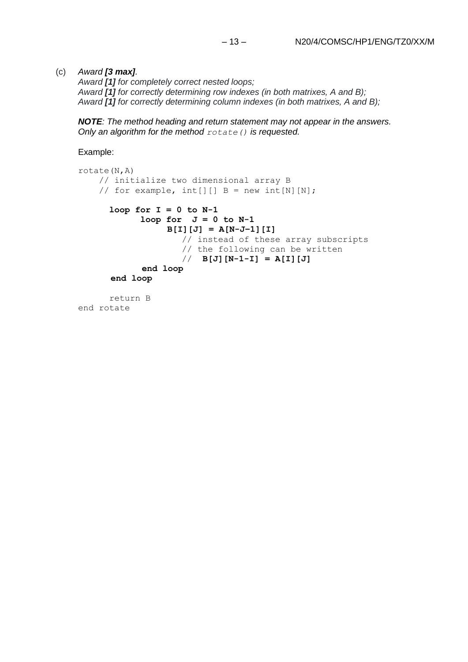#### (c) *Award [3 max].*

*Award [1] for completely correct nested loops; Award [1] for correctly determining row indexes (in both matrixes, A and B); Award [1] for correctly determining column indexes (in both matrixes, A and B);*

*NOTE: The method heading and return statement may not appear in the answers. Only an algorithm for the method rotate() is requested.*

Example:

```
rotate(N,A)
     // initialize two dimensional array B 
    // for example, int[][] B = new int[N][N];loop for I = 0 to N-1loop for J = 0 to N-1B[I][J] = A[N-J–1][I] 
                    // instead of these array subscripts
                    // the following can be written
                    // B[J][N-1-I] = A[I][J]
             end loop
       end loop
     return B
```
end rotate